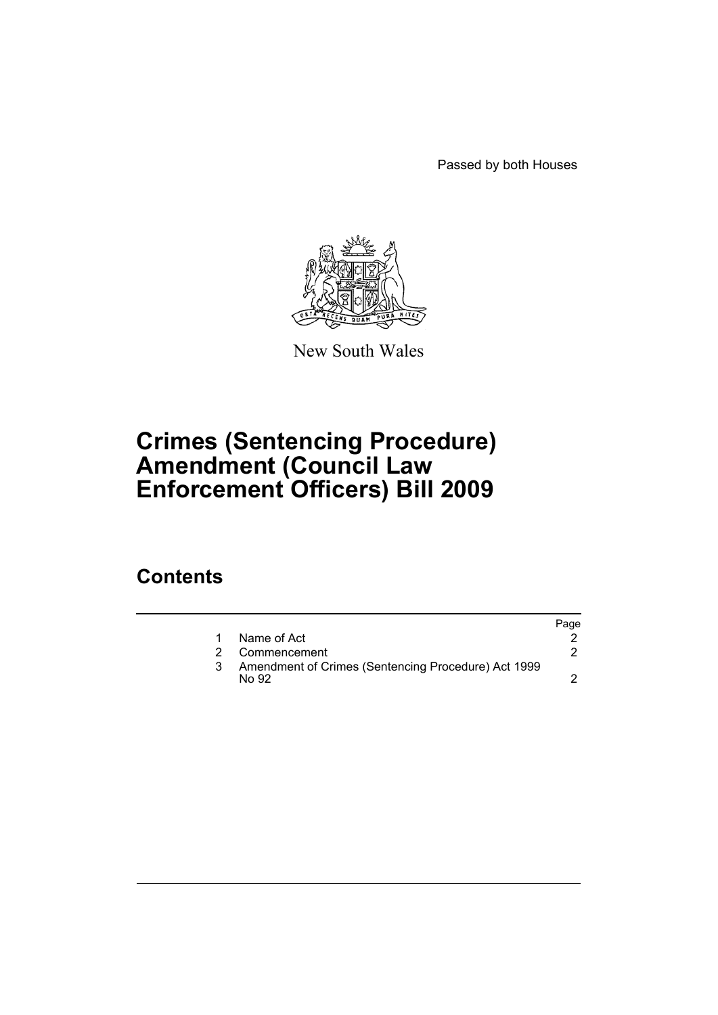Passed by both Houses



New South Wales

# **Crimes (Sentencing Procedure) Amendment (Council Law Enforcement Officers) Bill 2009**

## **Contents**

|                                                              | Page |
|--------------------------------------------------------------|------|
| Name of Act                                                  |      |
| Commencement                                                 |      |
| Amendment of Crimes (Sentencing Procedure) Act 1999<br>No 92 |      |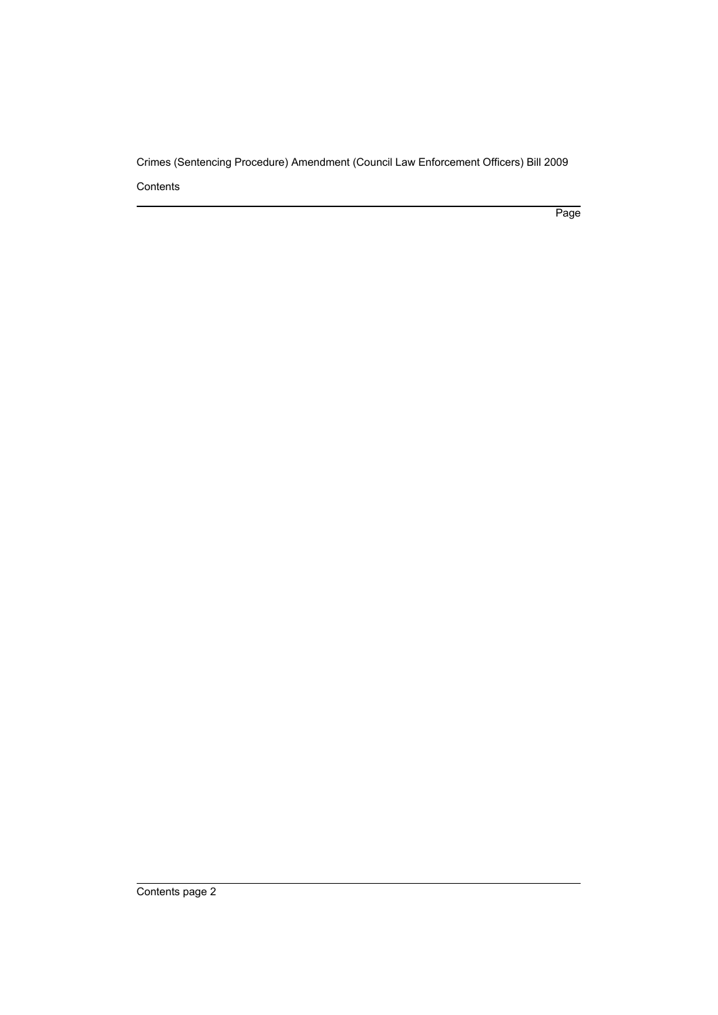Crimes (Sentencing Procedure) Amendment (Council Law Enforcement Officers) Bill 2009 **Contents** 

Page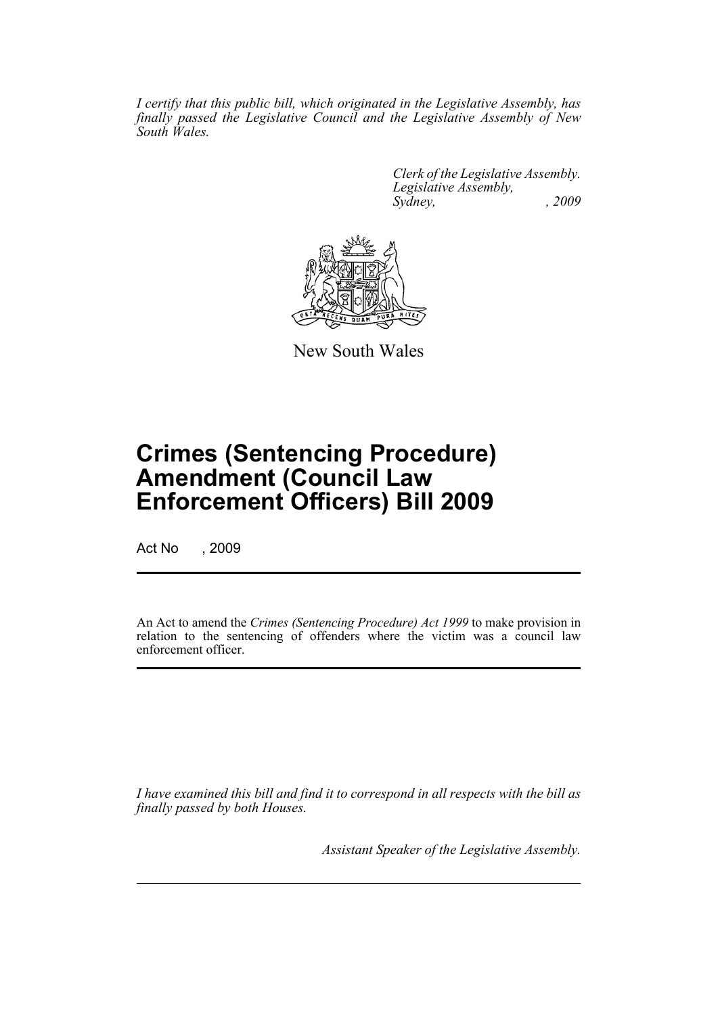*I certify that this public bill, which originated in the Legislative Assembly, has finally passed the Legislative Council and the Legislative Assembly of New South Wales.*

> *Clerk of the Legislative Assembly. Legislative Assembly, Sydney, , 2009*



New South Wales

# **Crimes (Sentencing Procedure) Amendment (Council Law Enforcement Officers) Bill 2009**

Act No , 2009

An Act to amend the *Crimes (Sentencing Procedure) Act 1999* to make provision in relation to the sentencing of offenders where the victim was a council law enforcement officer.

*I have examined this bill and find it to correspond in all respects with the bill as finally passed by both Houses.*

*Assistant Speaker of the Legislative Assembly.*